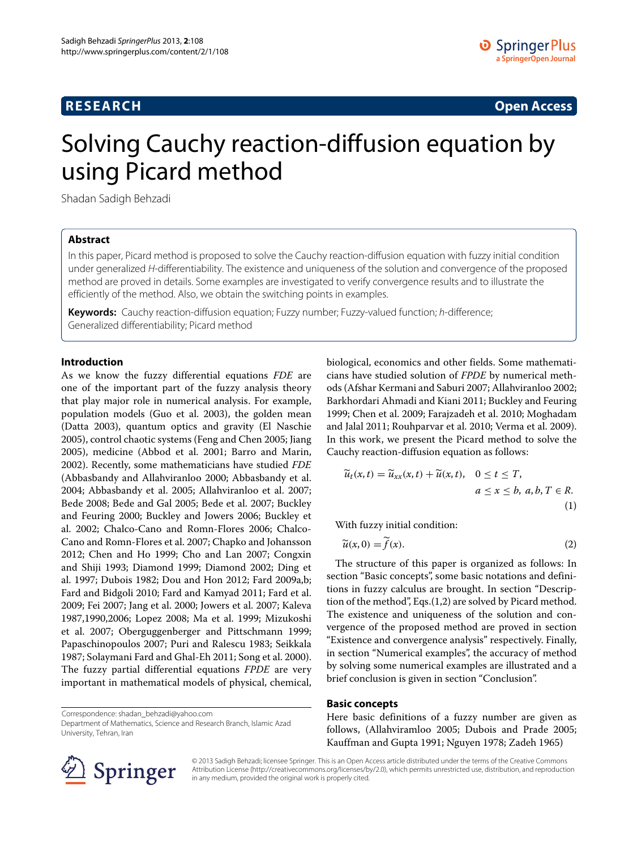# **RESEARCH Open Access**

# Solving Cauchy reaction-diffusion equation by using Picard method

Shadan Sadigh Behzadi

# **Abstract**

In this paper, Picard method is proposed to solve the Cauchy reaction-diffusion equation with fuzzy initial condition under generalized H-differentiability. The existence and uniqueness of the solution and convergence of the proposed method are proved in details. Some examples are investigated to verify convergence results and to illustrate the efficiently of the method. Also, we obtain the switching points in examples.

**Keywords:** Cauchy reaction-diffusion equation; Fuzzy number; Fuzzy-valued function; h-difference; Generalized differentiability; Picard method

#### **Introduction**

As we know the fuzzy differential equations *FDE* are one of the important part of the fuzzy analysis theory that play major role in numerical analysis. For example, population models (Guo et al. [2003\)](#page-5-0), the golden mean (Datta [2003\)](#page-5-1), quantum optics and gravity (El Naschie [2005\)](#page-5-2), control chaotic systems (Feng and Chen [2005;](#page-5-3) Jiang [2005\)](#page-5-4), medicine (Abbod et al. [2001;](#page-4-0) Barro and Marin, [2002\)](#page-4-1). Recently, some mathematicians have studied *FDE* (Abbasbandy and Allahviranloo [2000;](#page-4-2) Abbasbandy et al. [2004;](#page-4-3) Abbasbandy et al. [2005;](#page-4-4) Allahviranloo et al. [2007;](#page-4-5) Bede [2008;](#page-4-6) Bede and Gal [2005;](#page-4-7) Bede et al. [2007;](#page-4-8) Buckley and Feuring [2000;](#page-4-9) Buckley and Jowers [2006;](#page-4-10) Buckley et al. [2002;](#page-4-11) Chalco-Cano and Romn-Flores [2006;](#page-4-12) Chalco-Cano and Romn-Flores et al. [2007;](#page-4-13) Chapko and Johansson [2012;](#page-5-5) Chen and Ho [1999;](#page-5-6) Cho and Lan [2007;](#page-5-7) Congxin and Shiji [1993;](#page-5-8) Diamond [1999;](#page-5-9) Diamond [2002;](#page-5-10) Ding et al. [1997;](#page-5-11) Dubois [1982;](#page-5-12) Dou and Hon [2012;](#page-5-13) Fard [2009a,](#page-5-14)b; Fard and Bidgoli [2010;](#page-5-15) Fard and Kamyad [2011;](#page-5-16) Fard et al. [2009;](#page-5-17) Fei [2007;](#page-5-18) Jang et al. [2000;](#page-5-19) Jowers et al. [2007;](#page-5-20) Kaleva [1987,](#page-5-21)[1990,](#page-5-22)[2006;](#page-5-23) Lopez [2008;](#page-5-24) Ma et al. [1999;](#page-5-25) Mizukoshi et al. [2007;](#page-5-26) Oberguggenberger and Pittschmann [1999;](#page-5-27) Papaschinopoulos [2007;](#page-5-28) Puri and Ralescu [1983;](#page-5-29) Seikkala [1987;](#page-5-30) Solaymani Fard and Ghal-Eh [2011;](#page-5-31) Song et al. [2000\)](#page-5-32). The fuzzy partial differential equations *FPDE* are very important in mathematical models of physical, chemical,

Correspondence: [shadan\\_behzadi@yahoo.com](mailto: shadan_behzadi@yahoo.com)

Department of Mathematics, Science and Research Branch, Islamic Azad University, Tehran, Iran

biological, economics and other fields. Some mathematicians have studied solution of *FPDE* by numerical methods (Afshar Kermani and Saburi [2007;](#page-4-14) Allahviranloo [2002;](#page-4-15) Barkhordari Ahmadi and Kiani [2011;](#page-4-16) Buckley and Feuring [1999;](#page-4-17) Chen et al. [2009;](#page-5-33) Farajzadeh et al. [2010;](#page-5-34) Moghadam and Jalal [2011;](#page-5-35) Rouhparvar et al. [2010;](#page-5-36) Verma et al. [2009\)](#page-5-37). In this work, we present the Picard method to solve the Cauchy reaction-diffusion equation as follows:

<span id="page-0-1"></span>
$$
\widetilde{u}_t(x,t) = \widetilde{u}_{xx}(x,t) + \widetilde{u}(x,t), \quad 0 \le t \le T,
$$
\n
$$
a \le x \le b, a, b, T \in R.
$$
\n(1)

With fuzzy initial condition:

<span id="page-0-2"></span>
$$
\widetilde{u}(x,0) = \widetilde{f}(x). \tag{2}
$$

The structure of this paper is organized as follows: In section ["Basic concepts"](#page-0-0), some basic notations and definitions in fuzzy calculus are brought. In section "Description of the method", Eqs.[\(1](#page-0-1)[,2\)](#page-0-2) are solved by Picard method. The existence and uniqueness of the solution and convergence of the proposed method are proved in section ["Existence and convergence analysis"](#page-3-0) respectively. Finally, in section ["Numerical examples"](#page-4-18), the accuracy of method by solving some numerical examples are illustrated and a brief conclusion is given in section ["Conclusion"](#page-4-19).

# <span id="page-0-0"></span>**Basic concepts**

Here basic definitions of a fuzzy number are given as follows, (Allahviramloo [2005;](#page-4-20) Dubois and Prade [2005;](#page-4-20) Kauffman and Gupta [1991;](#page-5-38) Nguyen [1978;](#page-5-39) Zadeh [1965\)](#page-5-40)



© 2013 Sadigh Behzadi; licensee Springer. This is an Open Access article distributed under the terms of the Creative Commons Attribution License (http://creativecommons.org/licenses/by/2.0), which permits unrestricted use, distribution, and reproduction in any medium, provided the original work is properly cited.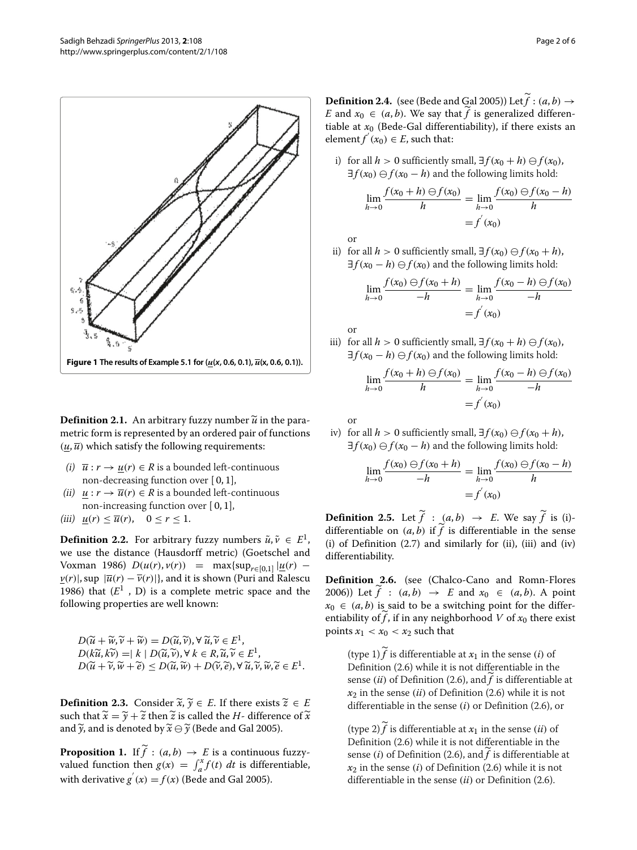

**Definition 2.1.** An arbitrary fuzzy number  $\widetilde{u}$  in the parametric form is represented by an ordered pair of functions  $(u, \overline{u})$  which satisfy the following requirements:

- (i)  $\overline{u}: r \rightarrow u(r) \in R$  is a bounded left-continuous non-decreasing function over [ 0, 1],
- (ii)  $u : r \to \overline{u}(r) \in R$  is a bounded left-continuous non-increasing function over [ 0, 1],
- (iii)  $u(r) \leq \overline{u}(r)$ ,  $0 \leq r \leq 1$ .

**Definition 2.2.** For arbitrary fuzzy numbers  $\tilde{u}, \tilde{v} \in E^1$ , we use the distance (Hausdorff metric) (Goetschel and Voxman [1986\)](#page-5-41)  $D(u(r), v(r)) = \max\{\sup_{r \in [0,1]} |u(r)|\}$ *v*<sub>(*r*</sub>)|, sup  $|\overline{u}(r) - \overline{v}(r)|$ }, and it is shown (Puri and Ralescu [1986\)](#page-5-42) that  $(E^1, D)$  is a complete metric space and the following properties are well known:

$$
D(\widetilde{u} + \widetilde{w}, \widetilde{v} + \widetilde{w}) = D(\widetilde{u}, \widetilde{v}), \forall \widetilde{u}, \widetilde{v} \in E^1, D(k\widetilde{u}, k\widetilde{v}) = |k| D(\widetilde{u}, \widetilde{v}), \forall k \in R, \widetilde{u}, \widetilde{v} \in E^1, D(\widetilde{u} + \widetilde{v}, \widetilde{w} + \widetilde{e}) \le D(\widetilde{u}, \widetilde{w}) + D(\widetilde{v}, \widetilde{e}), \forall \widetilde{u}, \widetilde{v}, \widetilde{w}, \widetilde{e} \in E^1.
$$

**Definition 2.3.** Consider  $\widetilde{x}$ ,  $\widetilde{y} \in E$ . If there exists  $\widetilde{z} \in E$ such that  $\widetilde{x} = \widetilde{y} + \widetilde{z}$  then  $\widetilde{z}$  is called the *H*- difference of  $\widetilde{x}$ and  $\widetilde{\mathbf{y}}$ , and is denoted by  $\widetilde{\mathbf{x}} \ominus \widetilde{\mathbf{y}}$  (Bede and Gal [2005\)](#page-4-7).

**Proposition 1.** If  $f : (a, b) \rightarrow E$  is a continuous fuzzyvalued function then  $g(x) = \int_a^x f(t) dt$  is differentiable, with derivative  $g'(x) = f(x)$  (Bede and Gal [2005\)](#page-4-7).

**Definition 2.4.** (see (Bede and Gal [2005\)](#page-4-7)) Let  $f : (a, b) \rightarrow$ *E* and  $x_0 \in (a, b)$ . We say that  $f$  is generalized differentiable at  $x_0$  (Bede-Gal differentiability), if there exists an element  $f'(x_0) \in E$ , such that:

i) for all *h* > 0 sufficiently small, ∃ $f(x_0 + h) \ominus f(x_0)$ ,  $\exists f(x_0) \ominus f(x_0 - h)$  and the following limits hold:

$$
\lim_{h \to 0} \frac{f(x_0 + h) \ominus f(x_0)}{h} = \lim_{h \to 0} \frac{f(x_0) \ominus f(x_0 - h)}{h}
$$

$$
= f'(x_0)
$$

or

ii) for all *h* > 0 sufficiently small, ∃ $f(x_0)$   $\ominus$   $f(x_0 + h)$ ,  $\exists f(x_0 - h) \ominus f(x_0)$  and the following limits hold:

$$
\lim_{h \to 0} \frac{f(x_0) \ominus f(x_0 + h)}{-h} = \lim_{h \to 0} \frac{f(x_0 - h) \ominus f(x_0)}{-h}
$$

$$
= f'(x_0)
$$

or

iii) for all *h* > 0 sufficiently small, ∃ *f*(*x*<sub>0</sub> + *h*)  $\ominus$  *f*(*x*<sub>0</sub>),  $\exists f(x_0 - h) \ominus f(x_0)$  and the following limits hold:

$$
\lim_{h \to 0} \frac{f(x_0 + h) \ominus f(x_0)}{h} = \lim_{h \to 0} \frac{f(x_0 - h) \ominus f(x_0)}{-h}
$$

$$
= f^{'}(x_0)
$$

or

iv) for all 
$$
h > 0
$$
 sufficiently small,  $\exists f(x_0) \ominus f(x_0 + h)$ ,  
 $\exists f(x_0) \ominus f(x_0 - h)$  and the following limits hold:

$$
\lim_{h \to 0} \frac{f(x_0) \ominus f(x_0 + h)}{-h} = \lim_{h \to 0} \frac{f(x_0) \ominus f(x_0 - h)}{h} = f'(x_0)
$$

**Definition 2.5.** Let  $f : (a, b) \rightarrow E$ . We say  $f$  is (i)differentiable on  $(a, b)$  if  $f$  is differentiable in the sense (i) of Definition [\(2.7\)](#page-2-0) and similarly for (ii), (iii) and (iv) differentiability.

<span id="page-1-0"></span>**Definition 2.6.** (see (Chalco-Cano and Romn-Flores [2006\)](#page-4-12)) Let  $f : (a, b) \rightarrow E$  and  $x_0 \in (a, b)$ . A point  $x_0 \in (a, b)$  is said to be a switching point for the differentiability of f, if in any neighborhood  $V$  of  $x_0$  there exist points  $x_1 < x_0 < x_2$  such that

 $(t$ ype 1)  $f$  is differentiable at  $x_1$  in the sense *(i)* of Definition [\(2.6\)](#page-1-0) while it is not differentiable in the sense (*ii*) of Definition [\(2.6\)](#page-1-0), and  $f$  is differentiable at  $x_2$  in the sense *(ii)* of Definition [\(2.6\)](#page-1-0) while it is not differentiable in the sense *(i)* or Definition [\(2.6\)](#page-1-0), or

 $(t$ ype 2)  $f$  is differentiable at  $x_1$  in the sense *(ii)* of Definition [\(2.6\)](#page-1-0) while it is not differentiable in the sense (*i*) of Definition [\(2.6\)](#page-1-0), and  $f$  is differentiable at  $x_2$  in the sense *(i)* of Definition [\(2.6\)](#page-1-0) while it is not differentiable in the sense *(ii)* or Definition [\(2.6\)](#page-1-0).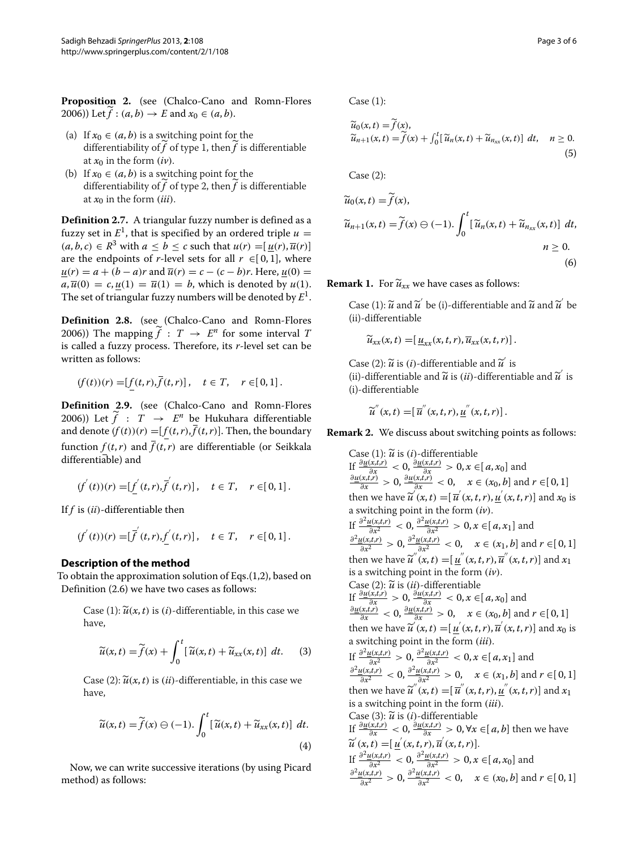**Proposition 2.** (see (Chalco-Cano and Romn-Flores  $2006$ )) Let  $f : (a, b) \to E$  and  $x_0 \in (a, b)$ .

- (a) If  $x_0 \in (a, b)$  is a switching point for the differentiability of  $f$  of type 1, then $f$  is differentiable at  $x_0$  in the form  $(iv)$ .
- (b) If  $x_0 \in (a, b)$  is a switching point for the differentiability of  $f$  of type 2, then $f$  is differentiable at  $x_0$  in the form *(iii)*.

<span id="page-2-0"></span>**Definition 2.7.** A triangular fuzzy number is defined as a fuzzy set in  $E^1$ , that is specified by an ordered triple  $u =$  $(a, b, c) \in \mathbb{R}^3$  with  $a \leq b \leq c$  such that  $u(r) = [u(r), \overline{u}(r)]$ are the endpoints of *r*-level sets for all  $r \in [0,1]$ , where  $u(r) = a + (b - a)r$  and  $\overline{u}(r) = c - (c - b)r$ . Here,  $u(0) =$  $a, \overline{u}(0) = c, u(1) = \overline{u}(1) = b$ , which is denoted by  $u(1)$ . The set of triangular fuzzy numbers will be denoted by *E*1.

**Definition 2.8.** (see (Chalco-Cano and Romn-Flores [2006\)](#page-4-12)) The mapping  $\widetilde{f}$  :  $T \rightarrow E^n$  for some interval  $T$ is called a fuzzy process. Therefore, its *r*-level set can be written as follows:

$$
(f(t))(r) = [f(t,r), \bar{f}(t,r)], \quad t \in T, \quad r \in [0,1].
$$

**Definition 2.9.** (see (Chalco-Cano and Romn-Flores [2006\)](#page-4-12)) Let  $\hat{f}$  :  $T \rightarrow E^n$  be Hukuhara differentiable and denote  $(f(t))(r) = [f(t, r), \overline{f}(t, r)]$ . Then, the boundary function  $f(t, r)$  and  $\overline{f}(t, r)$  are differentiable (or Seikkala differentiable) and

$$
(f^{'}(t))(r) = [f^{'}(t,r), \overline{f}^{'}(t,r)], \quad t \in T, \quad r \in [0,1].
$$

If *f* is *(ii)*-differentiable then

$$
(f^{'}(t))(r) = [\overline{f}^{'}(t,r), \underline{f}^{'}(t,r)], \quad t \in T, \quad r \in [0,1].
$$

## **Description of the method**

To obtain the approximation solution of Eqs.[\(1,](#page-0-1)[2\)](#page-0-2), based on Definition [\(2.6\)](#page-1-0) we have two cases as follows:

Case (1):  $\widetilde{u}(x,t)$  is (*i*)-differentiable, in this case we have,

$$
\widetilde{u}(x,t) = \widetilde{f}(x) + \int_0^t \left[ \widetilde{u}(x,t) + \widetilde{u}_{xx}(x,t) \right] dt. \tag{3}
$$

Case (2):  $\widetilde{u}(x,t)$  is  $(ii)$ -differentiable, in this case we have,

$$
\widetilde{u}(x,t) = \widetilde{f}(x) \ominus (-1) \cdot \int_0^t \left[ \widetilde{u}(x,t) + \widetilde{u}_{xx}(x,t) \right] dt.
$$
\n(4)

Now, we can write successive iterations (by using Picard method) as follows:

Case (1):

$$
\widetilde{u}_0(x,t) = \widetilde{f}(x), \n\widetilde{u}_{n+1}(x,t) = \widetilde{f}(x) + \int_0^t [\widetilde{u}_n(x,t) + \widetilde{u}_{nxx}(x,t)] dt, \quad n \ge 0.
$$
\n(5)

Case (2):

$$
\widetilde{u}_0(x,t) = \widetilde{f}(x),
$$
  
\n
$$
\widetilde{u}_{n+1}(x,t) = \widetilde{f}(x) \ominus (-1). \int_0^t [\widetilde{u}_n(x,t) + \widetilde{u}_{n_{xx}}(x,t)] dt,
$$
  
\n
$$
n \ge 0.
$$
\n(6)

**Remark 1.** For  $\widetilde{u}_{xx}$  we have cases as follows:

Case (1):  $\widetilde{u}$  and  $\widetilde{u}'$  be (i)-differentiable and  $\widetilde{u}$  and  $\widetilde{u}'$  be (ii)-differentiable

$$
\widetilde{u}_{xx}(x,t) = [\underline{u}_{xx}(x,t,r), \overline{u}_{xx}(x,t,r)].
$$

Case (2):  $\tilde{u}$  is *(i)*-differentiable and  $\tilde{u}$  is (ii)-differentiable and  $\widetilde{u}$  is *(ii)*-differentiable and  $\widetilde{u}$  is  $\widetilde{u}$ (i)-differentiable

$$
\widetilde{u}^{''}(x,t) = [\overline{u}^{''}(x,t,r), \underline{u}^{''}(x,t,r)].
$$

**Remark 2.** We discuss about switching points as follows:

Case (1):  $\widetilde{u}$  is (*i*)-differentiable<br>*v*  $\partial u(x,t,r)$  =  $\partial u(x,t,r)$  =  $\partial u(x,t,r)$ If  $\frac{\partial \underline{u}(x,t,r)}{\partial x} < 0$ ,  $\frac{\partial \underline{u}(x,t,r)}{\partial x} > 0$ ,  $x \in [a,x_0]$  and<br>  $\frac{\partial \underline{u}(x,t,r)}{\partial x} > 0$ ,  $\frac{\partial \underline{u}(x,t,r)}{\partial x} < 0$ ,  $x \in (x_0, b]$  and  $r \in [0,1]$ then we have  $\widetilde{u}'(x,t) = [\overline{u}'(x,t,r), \underline{u}'(x,t,r)]$  and  $x_0$  is a switching point in the form  $(iv)$ .  $\int \frac{d^2 u(x,t,r)}{\partial x^2}$  < 0,  $\frac{\partial^2 u(x,t,r)}{\partial x^2}$  > 0,  $x \in [a,x_1]$  and  $\frac{\partial^2 u(x,t,r)}{\partial x^2} > 0$ ,  $\frac{\partial^2 u(x,t,r)}{\partial x^2} < 0$ ,  $x \in (x_1, b]$  and  $r \in [0, 1]$ then we have  $\widetilde{u}''(x,t) = [\underline{u}''(x,t,r), \overline{u}''(x,t,r)]$  and  $x_1$ is a switching point in the form *(iv)*. Case (2):  $\widetilde{u}$  is *(ii)*-differentiable If  $\frac{\partial \underline{u}(x,t,r)}{\partial x} > 0$ ,  $\frac{\partial \underline{u}(x,t,r)}{\partial x} < 0$ ,  $x \in [a, x_0]$  and<br>  $\frac{\partial \underline{u}(x,t,r)}{\partial x} < 0$ ,  $\frac{\partial \underline{u}(x,t,r)}{\partial x} > 0$ ,  $x \in (x_0, b]$  and  $r \in [0, 1]$ then we have  $\widetilde{u}'(x,t) = [\underline{u}'(x,t,r), \overline{u}'(x,t,r)]$  and  $x_0$  is a switching point in the form *(iii)*. If  $\frac{\partial^2 u(x,t,r)}{\partial x^2} > 0$ ,  $\frac{\partial^2 u(x,t,r)}{\partial x^2} < 0$ ,  $x \in [a, x_1]$  and<br>  $\frac{\partial^2 u(x,t,r)}{\partial x^2} < 0$ ,  $\frac{\partial^2 u(x,t,r)}{\partial x^2} > 0$ ,  $x \in (x_1, b]$  and  $r \in [0, 1]$ then we have  $\widetilde{u}''(x, t) = [\overline{u}''(x, t, r), \underline{u}''(x, t, r)]$  and  $x_1$ is a switching point in the form *(iii)*. Case (3):  $\widetilde{u}$  is *(i)*-differentiable *If*  $\frac{\partial u(x,t,r)}{\partial x}$  < 0,  $\frac{\partial u(x,t,r)}{\partial x}$  > 0,  $\forall x \in [a, b]$  then we have If  $\frac{\partial^2 u(x,t)}{\partial x^2} > 0$ ,  $\frac{\partial^2 u(x,t)}{\partial x^2} > 0$ ,  $x \in [a, x_0]$  and<br>  $\frac{\partial^2 u(x,t)}{\partial x^2} > 0$ ,  $\frac{\partial^2 u(x,t)}{\partial x^2} > 0$ ,  $x \in (x_0, b]$  and  $r \in [0, 1]$  $\widetilde{u}'(x,t) = [\underline{u}'(x,t,r), \overline{u}'(x,t,r)].$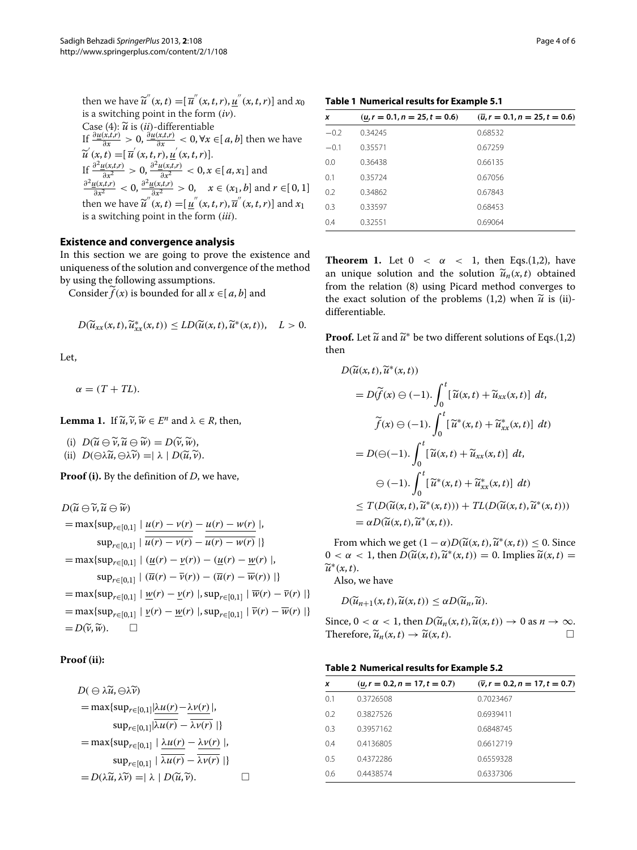then we have  $\widetilde{u}''(x,t) = [\overline{u}''(x,t,r), \underline{u}''(x,t,r)]$  and  $x_0$ is a switching point in the form *(iv)*. Case (4):  $\widetilde{u}$  is *(ii)*-differentiable  $\int \frac{\partial u(x,t,r)}{\partial x} > 0$ ,  $\frac{\partial u(x,t,r)}{\partial x} < 0$ ,  $\forall x \in [a,b]$  then we have If  $\frac{\partial^2 u(x,t,r)}{\partial x^2} > 0$ ,  $\frac{\partial^2 u(x,t,r)}{\partial x^2} > 0$ ,  $x \in [a, x_1]$  and<br>  $\frac{\partial^2 u(x,t,r)}{\partial x^2} > 0$ ,  $\frac{\partial^2 u(x,t,r)}{\partial x^2} > 0$ ,  $x \in (x_1, b]$  and  $r \in [0, 1]$  $\widetilde{u}^{\prime}(x,t) = [\overline{u}^{\prime}(x,t,r), \underline{u}^{\prime}(x,t,r)].$ then we have  $\widetilde{u}''(x, t) = [\underline{u}''(x, t, r), \overline{u}''(x, t, r)]$  and  $x_1$ is a switching point in the form *(iii)*.

#### <span id="page-3-0"></span>**Existence and convergence analysis**

In this section we are going to prove the existence and uniqueness of the solution and convergence of the method by using the following assumptions.

Consider  $f(x)$  is bounded for all  $x \in [a, b]$  and

$$
D(\widetilde{u}_{xx}(x,t),\widetilde{u}_{xx}^*(x,t)) \leq LD(\widetilde{u}(x,t),\widetilde{u}^*(x,t)), \quad L > 0.
$$

Let,

$$
\alpha = (T + TL).
$$

**Lemma 1.** If  $\widetilde{u}, \widetilde{v}, \widetilde{w} \in E^n$  and  $\lambda \in R$ , then,

 $U(\widetilde{u}) \cap D(\widetilde{u} \ominus \widetilde{v}, \widetilde{u} \ominus \widetilde{w}) = D(\widetilde{v}, \widetilde{w}),$ 

 $(i)$   $D(\ominus \lambda \widetilde{u}, \ominus \lambda \widetilde{v}) = |\lambda| D(\widetilde{u}, \widetilde{v}).$ 

**Proof (i).** By the definition of *D*, we have,

$$
D(\widetilde{u} \ominus \widetilde{v}, \widetilde{u} \ominus \widetilde{w})
$$
\n
$$
= \max\{\sup_{r \in [0,1]} |\ \frac{u(r) - v(r)}{u(r) - u(r)} - \frac{u(r) - w(r)}{u(r) - w(r)}| \}
$$
\n
$$
= \max\{\sup_{r \in [0,1]} |\ (\underline{u}(r) - v(r)) - (\underline{u}(r) - \underline{w}(r) )| \}
$$
\n
$$
= \max\{\sup_{r \in [0,1]} |\ (\overline{u}(r) - \overline{v}(r)) - (\overline{u}(r) - \overline{w}(r)) | \}
$$
\n
$$
= \max\{\sup_{r \in [0,1]} |\ \underline{w}(r) - \underline{v}(r) |, \sup_{r \in [0,1]} |\ \overline{w}(r) - \overline{v}(r) | \}
$$
\n
$$
= \max\{\sup_{r \in [0,1]} |\ \underline{v}(r) - \underline{w}(r) |, \sup_{r \in [0,1]} |\ \overline{v}(r) - \overline{w}(r) | \}
$$
\n
$$
= D(\widetilde{v}, \widetilde{w}). \qquad \Box
$$

## **Proof (ii):**

$$
D(\ominus \lambda \widetilde{u}, \ominus \lambda \widetilde{v})
$$
\n
$$
= \max \{ \sup_{r \in [0,1]} |\lambda u(r) - \lambda v(r)|, \sup_{r \in [0,1]} |\lambda u(r) - \overline{\lambda v(r)}|, \sup_{r \in [0,1]} |\lambda u(r) - \overline{\lambda v(r)}|, \sup_{r \in [0,1]} |\lambda u(r) - \lambda v(r)|, \sup_{r \in [0,1]} |\lambda u(r) - \overline{\lambda v(r)}| \}
$$
\n
$$
= D(\lambda \widetilde{u}, \lambda \widetilde{v}) = |\lambda| D(\widetilde{u}, \widetilde{v}). \qquad \Box
$$

<span id="page-3-1"></span>**Table 1 Numerical results for Example 5.1**

| x      | $(u, r = 0.1, n = 25, t = 0.6)$ | $(\overline{u}, r = 0.1, n = 25, t = 0.6)$ |  |
|--------|---------------------------------|--------------------------------------------|--|
| $-0.2$ | 0.34245                         | 0.68532                                    |  |
| $-0.1$ | 0.35571                         | 0.67259                                    |  |
| 0.0    | 0.36438                         | 0.66135                                    |  |
| 0.1    | 0.35724                         | 0.67056                                    |  |
| 0.2    | 0.34862                         | 0.67843                                    |  |
| 0.3    | 0.33597                         | 0.68453                                    |  |
| 0.4    | 0.32551                         | 0.69064                                    |  |

**Theorem 1.** Let  $0 < \alpha < 1$ , then Eqs.[\(1,](#page-0-1)[2\)](#page-0-2), have an unique solution and the solution  $\tilde{u}_n(x,t)$  obtained from the relation [\(8\)](#page-4-21) using Picard method converges to the exact solution of the problems  $(1,2)$  $(1,2)$  when  $\tilde{u}$  is (ii)-<br>*u* is the matrix of the problems  $(1,2)$  when  $\tilde{u}$  is (ii)differentiable.

**Proof.** Let  $\widetilde{u}$  and  $\widetilde{u}^*$  be two different solutions of Eqs.[\(1,](#page-0-1)[2\)](#page-0-2) then

$$
D(\widetilde{u}(x, t), \widetilde{u}^*(x, t))
$$
  
\n
$$
= D(\widetilde{f}(x) \ominus (-1) \cdot \int_0^t [\widetilde{u}(x, t) + \widetilde{u}_{xx}(x, t)] dt,
$$
  
\n
$$
\widetilde{f}(x) \ominus (-1) \cdot \int_0^t [\widetilde{u}^*(x, t) + \widetilde{u}_{xx}^*(x, t)] dt)
$$
  
\n
$$
= D(\ominus (-1) \cdot \int_0^t [\widetilde{u}(x, t) + \widetilde{u}_{xx}(x, t)] dt,
$$
  
\n
$$
\ominus (-1) \cdot \int_0^t [\widetilde{u}^*(x, t) + \widetilde{u}_{xx}^*(x, t)] dt)
$$
  
\n
$$
\leq T(D(\widetilde{u}(x, t), \widetilde{u}^*(x, t))) + TL(D(\widetilde{u}(x, t), \widetilde{u}^*(x, t)))
$$
  
\n
$$
= \alpha D(\widetilde{u}(x, t), \widetilde{u}^*(x, t)).
$$

From which we get  $(1 - \alpha)D(\tilde{u}(x, t), \tilde{u}^*(x, t)) \le 0$ . Since  $0 < \alpha < 1$ , then  $D(\widetilde{u}(x, t), \widetilde{u}^*(x, t)) = 0$ . Implies  $\widetilde{u}(x, t) =$  $\widetilde{u}^*(x,t)$ .

Also, we have

$$
D(\widetilde{u}_{n+1}(x,t),\widetilde{u}(x,t))\leq \alpha D(\widetilde{u}_n,\widetilde{u}).
$$

Since,  $0 < \alpha < 1$ , then  $D(\widetilde{u}_n(x,t), \widetilde{u}(x,t)) \to 0$  as  $n \to \infty$ . Therefore,  $\widetilde{u}_n(x,t) \to \widetilde{u}(x,t)$ .

|  |  |  | Table 2 Numerical results for Example 5.2 |
|--|--|--|-------------------------------------------|
|--|--|--|-------------------------------------------|

<span id="page-3-2"></span>

| $(u, r = 0.2, n = 17, t = 0.7)$ | $(\bar{v}, r = 0.2, n = 17, t = 0.7)$ |
|---------------------------------|---------------------------------------|
| 0.3726508                       | 0.7023467                             |
| 0.3827526                       | 0.6939411                             |
| 0.3957162                       | 0.6848745                             |
| 0.4136805                       | 0.6612719                             |
| 0.4372286                       | 0.6559328                             |
| 0.4438574                       | 0.6337306                             |
|                                 |                                       |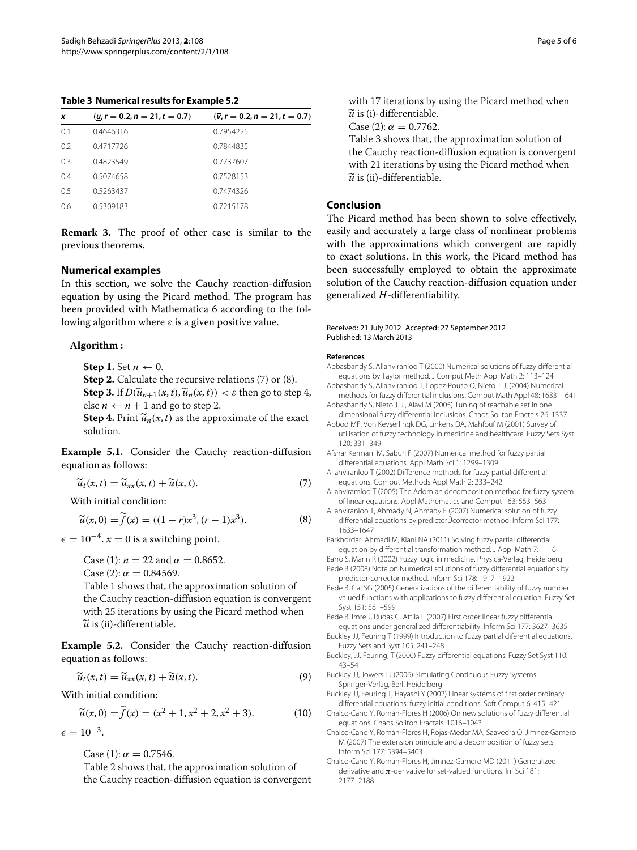<span id="page-4-24"></span>**Table 3 Numerical results for Example [5.2](#page-4-22)**

| x   | $(u, r = 0.2, n = 21, t = 0.7)$ | $(\bar{v}, r = 0.2, n = 21, t = 0.7)$ |
|-----|---------------------------------|---------------------------------------|
| 0.1 | 0.4646316                       | 0.7954225                             |
| 0.2 | 0.4717726                       | 0.7844835                             |
| 0.3 | 0.4823549                       | 0.7737607                             |
| 04  | 0.5074658                       | 0.7528153                             |
| 05  | 0.5263437                       | 0.7474326                             |
| 0.6 | 0.5309183                       | 0.7215178                             |

**Remark 3.** The proof of other case is similar to the previous theorems.

#### <span id="page-4-18"></span>**Numerical examples**

In this section, we solve the Cauchy reaction-diffusion equation by using the Picard method. The program has been provided with Mathematica 6 according to the following algorithm where  $\varepsilon$  is a given positive value.

#### **Algorithm :**

**Step 1.** Set  $n \leftarrow 0$ .

**Step 2.** Calculate the recursive relations [\(7\)](#page-4-23) or [\(8\)](#page-4-21). **Step 3.** If  $D(\widetilde{u}_{n+1}(x,t), \widetilde{u}_n(x,t)) < \varepsilon$  then go to step 4, else  $n \leftarrow n + 1$  and go to step 2.

**Step 4.** Print  $\widetilde{u}_n(x, t)$  as the approximate of the exact solution.

**Example 5.1.** Consider the Cauchy reaction-diffusion equation as follows:

<span id="page-4-23"></span>
$$
\widetilde{u}_t(x,t) = \widetilde{u}_{xx}(x,t) + \widetilde{u}(x,t).
$$
\n(7)

With initial condition:

<span id="page-4-21"></span>
$$
\widetilde{u}(x,0) = \widetilde{f}(x) = ((1-r)x^3, (r-1)x^3).
$$
 (8)

 $\epsilon = 10^{-4}$ .  $x = 0$  is a switching point.

Case (1):  $n = 22$  and  $\alpha = 0.8652$ . Case (2):  $\alpha = 0.84569$ . Table [1](#page-3-1) shows that, the approximation solution of the Cauchy reaction-diffusion equation is convergent with 25 iterations by using the Picard method when  $\widetilde{u}$  is (ii)-differentiable.

<span id="page-4-22"></span>**Example 5.2.** Consider the Cauchy reaction-diffusion equation as follows:

$$
\widetilde{u}_t(x,t) = \widetilde{u}_{xx}(x,t) + \widetilde{u}(x,t).
$$
\n(9)

With initial condition:

$$
\widetilde{u}(x,0) = \widetilde{f}(x) = (x^2 + 1, x^2 + 2, x^2 + 3). \tag{10}
$$

 $\epsilon = 10^{-3}$ .

Case (1):  $\alpha = 0.7546$ .

Table [2](#page-3-2) shows that, the approximation solution of the Cauchy reaction-diffusion equation is convergent with 17 iterations by using the Picard method when  $\widetilde{u}$  is (i)-differentiable.

 $\alpha$  is (*i*)-differentiable.<br>Case (2):  $\alpha = 0.7762$ .

Table [3](#page-4-24) shows that, the approximation solution of the Cauchy reaction-diffusion equation is convergent with 21 iterations by using the Picard method when  $\widetilde{u}$  is (ii)-differentiable.

# <span id="page-4-19"></span>**Conclusion**

The Picard method has been shown to solve effectively, easily and accurately a large class of nonlinear problems with the approximations which convergent are rapidly to exact solutions. In this work, the Picard method has been successfully employed to obtain the approximate solution of the Cauchy reaction-diffusion equation under generalized *H*-differentiability.

#### Received: 21 July 2012 Accepted: 27 September 2012 Published: 13 March 2013

#### **References**

- <span id="page-4-2"></span>Abbasbandy S, Allahviranloo T (2000) Numerical solutions of fuzzy differential equations by Taylor method. J Comput Meth Appl Math 2: 113–124
- <span id="page-4-3"></span>Abbasbandy S, Allahviranloo T, Lopez-Pouso O, Nieto J. J. (2004) Numerical methods for fuzzy differential inclusions. Comput Math Appl 48: 1633–1641 Abbasbandy S, Nieto J. J., Alavi M (2005) Tuning of reachable set in one
- <span id="page-4-4"></span>dimensional fuzzy differential inclusions. Chaos Soliton Fractals 26: 1337
- <span id="page-4-0"></span>Abbod MF, Von Keyserlingk DG, Linkens DA, Mahfouf M (2001) Survey of utilisation of fuzzy technology in medicine and healthcare. Fuzzy Sets Syst 120: 331–349
- <span id="page-4-14"></span>Afshar Kermani M, Saburi F (2007) Numerical method for fuzzy partial differential equations. Appl Math Sci 1: 1299–1309
- <span id="page-4-15"></span>Allahviranloo T (2002) Difference methods for fuzzy partial differential equations. Comput Methods Appl Math 2: 233–242
- <span id="page-4-20"></span>Allahviramloo T (2005) The Adomian decomposition method for fuzzy system of linear equations. Appl Mathematics and Comput 163: 553–563
- <span id="page-4-5"></span>Allahviranloo T, Ahmady N, Ahmady E (2007) Numerical solution of fuzzy differential equations by predictor Űcorrector method. Inform Sci 177: 1633–1647
- <span id="page-4-16"></span>Barkhordari Ahmadi M, Kiani NA (2011) Solving fuzzy partial differential equation by differential transformation method. J Appl Math 7: 1–16
- <span id="page-4-1"></span>Barro S, Marin R (2002) Fuzzy logic in medicine. Physica-Verlag, Heidelberg Bede B (2008) Note on Numerical solutions of fuzzy differential equations by
- <span id="page-4-6"></span>predictor-corrector method. Inform Sci 178: 1917–1922
- <span id="page-4-7"></span>Bede B, Gal SG (2005) Generalizations of the differentiability of fuzzy number valued functions with applications to fuzzy differential equation. Fuzzy Set Syst 151: 581–599
- <span id="page-4-8"></span>Bede B, Imre J, Rudas C, Attila L (2007) First order linear fuzzy differential equations under generalized differentiability. Inform Sci 177: 3627–3635
- <span id="page-4-17"></span>Buckley JJ, Feuring T (1999) Introduction to fuzzy partial diferential equations. Fuzzy Sets and Syst 105: 241–248
- <span id="page-4-9"></span>Buckley, JJ, Feuring, T (2000) Fuzzy differential equations. Fuzzy Set Syst 110: 43–54
- <span id="page-4-10"></span>Buckley JJ, Jowers LJ (2006) Simulating Continuous Fuzzy Systems. Springer-Verlag, Berl, Heidelberg
- <span id="page-4-11"></span>Buckley JJ, Feuring T, Hayashi Y (2002) Linear systems of first order ordinary differential equations: fuzzy initial conditions. Soft Comput 6: 415–421
- <span id="page-4-12"></span>Chalco-Cano Y, Román-Flores H (2006) On new solutions of fuzzy differential equations. Chaos Soliton Fractals: 1016–1043
- <span id="page-4-13"></span>Chalco-Cano Y, Román-Flores H, Rojas-Medar MA, Saavedra O, Jimnez-Gamero M (2007) The extension principle and a decomposition of fuzzy sets. Inform Sci 177: 5394–5403
- Chalco-Cano Y, Roman-Flores H, Jimnez-Gamero MD (2011) Generalized derivative and *π*-derivative for set-valued functions. Inf Sci 181: 2177–2188